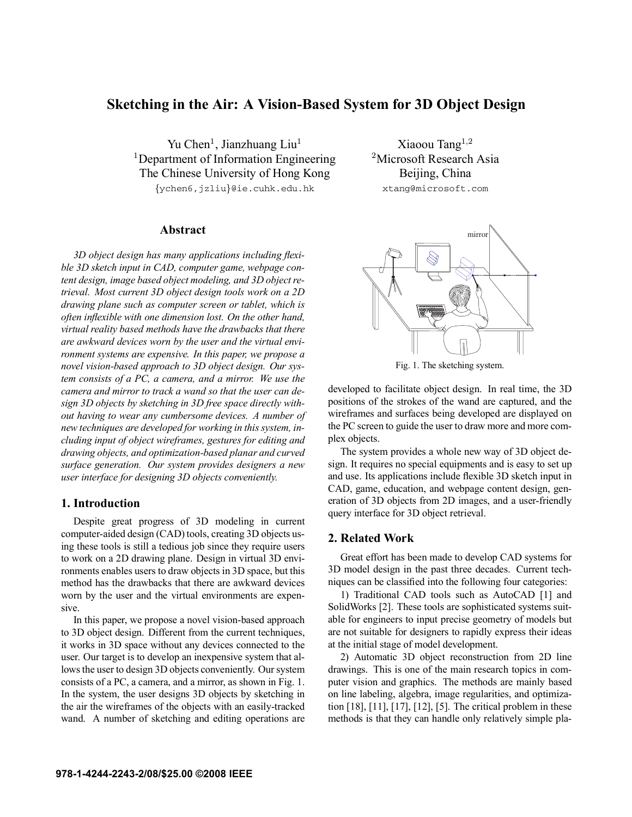# **Sketching in the Air: A Vision-Based System for 3D Object Design**

Yu Chen<sup>1</sup>, Jianzhuang Liu<sup>1</sup> <sup>1</sup>Department of Information Engineering The Chinese University of Hong Kong

{ychen6,jzliu}@ie.cuhk.edu.hk

# **Abstract**

*3D object design has many applications including flexible 3D sketch input in CAD, computer game, webpage content design, image based object modeling, and 3D object retrieval. Most current 3D object design tools work on a 2D drawing plane such as computer screen or tablet, which is often inflexible with one dimension lost. On the other hand, virtual reality based methods have the drawbacks that there are awkward devices worn by the user and the virtual environment systems are expensive. In this paper, we propose a novel vision-based approach to 3D object design. Our system consists of a PC, a camera, and a mirror. We use the camera and mirror to track a wand so that the user can design 3D objects by sketching in 3D free space directly without having to wear any cumbersome devices. A number of new techniques are developed for working in this system, including input of object wireframes, gestures for editing and drawing objects, and optimization-based planar and curved surface generation. Our system provides designers a new user interface for designing 3D objects conveniently.*

# **1. Introduction**

Despite great progress of 3D modeling in current computer-aided design (CAD) tools, creating 3D objects using these tools is still a tedious job since they require users to work on a 2D drawing plane. Design in virtual 3D environments enables users to draw objects in 3D space, but this method has the drawbacks that there are awkward devices worn by the user and the virtual environments are expensive.

In this paper, we propose a novel vision-based approach to 3D object design. Different from the current techniques, it works in 3D space without any devices connected to the user. Our target is to develop an inexpensive system that allows the user to design 3D objects conveniently. Our system consists of a PC, a camera, and a mirror, as shown in Fig. 1. In the system, the user designs 3D objects by sketching in the air the wireframes of the objects with an easily-tracked wand. A number of sketching and editing operations are

Xiaoou Tang<sup>1</sup>,<sup>2</sup> <sup>2</sup>Microsoft Research Asia Beijing, China xtang@microsoft.com



Fig. 1. The sketching system.

developed to facilitate object design. In real time, the 3D positions of the strokes of the wand are captured, and the wireframes and surfaces being developed are displayed on the PC screen to guide the user to draw more and more complex objects.

The system provides a whole new way of 3D object design. It requires no special equipments and is easy to set up and use. Its applications include flexible 3D sketch input in CAD, game, education, and webpage content design, generation of 3D objects from 2D images, and a user-friendly query interface for 3D object retrieval.

# **2. Related Work**

Great effort has been made to develop CAD systems for 3D model design in the past three decades. Current techniques can be classified into the following four categories:

1) Traditional CAD tools such as AutoCAD [1] and SolidWorks [2]. These tools are sophisticated systems suitable for engineers to input precise geometry of models but are not suitable for designers to rapidly express their ideas at the initial stage of model development.

2) Automatic 3D object reconstruction from 2D line drawings. This is one of the main research topics in computer vision and graphics. The methods are mainly based on line labeling, algebra, image regularities, and optimization [18], [11], [17], [12], [5]. The critical problem in these methods is that they can handle only relatively simple pla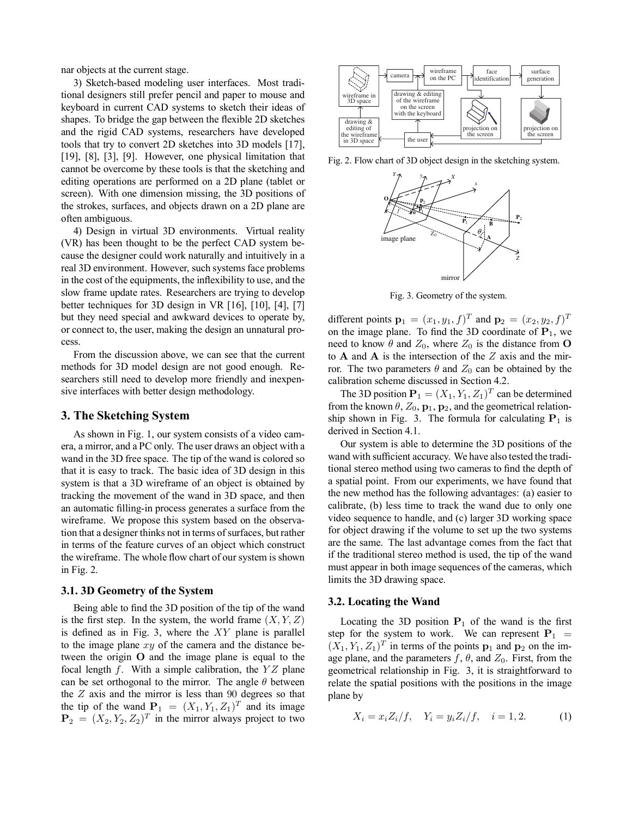nar objects at the current stage.

3) Sketch-based modeling user interfaces. Most traditional designers still prefer pencil and paper to mouse and keyboard in current CAD systems to sketch their ideas of shapes. To bridge the gap between the flexible 2D sketches and the rigid CAD systems, researchers have developed tools that try to convert 2D sketches into 3D models [17], [19], [8], [3], [9]. However, one physical limitation that cannot be overcome by these tools is that the sketching and editing operations are performed on a 2D plane (tablet or screen). With one dimension missing, the 3D positions of the strokes, surfaces, and objects drawn on a 2D plane are often ambiguous.

4) Design in virtual 3D environments. Virtual reality (VR) has been thought to be the perfect CAD system because the designer could work naturally and intuitively in a real 3D environment. However, such systems face problems in the cost of the equipments, the inflexibility to use, and the slow frame update rates. Researchers are trying to develop better techniques for 3D design in VR [16], [10], [4], [7] but they need special and awkward devices to operate by, or connect to, the user, making the design an unnatural process.

From the discussion above, we can see that the current methods for 3D model design are not good enough. Researchers still need to develop more friendly and inexpensive interfaces with better design methodology.

### **3. The Sketching System**

As shown in Fig. 1, our system consists of a video camera, a mirror, and a PC only. The user draws an object with a wand in the 3D free space. The tip of the wand is colored so that it is easy to track. The basic idea of 3D design in this system is that a 3D wireframe of an object is obtained by tracking the movement of the wand in 3D space, and then an automatic filling-in process generates a surface from the wireframe. We propose this system based on the observation that a designer thinks not in terms of surfaces, but rather in terms of the feature curves of an object which construct the wireframe. The whole flow chart of our system is shown in Fig. 2.

### **3.1. 3D Geometry of the System**

Being able to find the 3D position of the tip of the wand is the first step. In the system, the world frame  $(X, Y, Z)$ is defined as in Fig. 3, where the  $XY$  plane is parallel to the image plane  $xy$  of the camera and the distance between the origin O and the image plane is equal to the focal length  $f$ . With a simple calibration, the  $YZ$  plane can be set orthogonal to the mirror. The angle  $\theta$  between the  $Z$  axis and the mirror is less than  $90$  degrees so that the tip of the wand  $P_1 = (X_1, Y_1, Z_1)^T$  and its image  $\mathbf{P}_2 = (X_2, Y_2, Z_2)^T$  in the mirror always project to two



Fig. 2. Flow chart of 3D object design in the sketching system.



Fig. 3. Geometry of the system.

different points  ${\bf p}_1 = (x_1, y_1, f)^T$  and  ${\bf p}_2 = (x_2, y_2, f)^T$ on the image plane. To find the 3D coordinate of  $P_1$ , we need to know  $\theta$  and  $Z_0$ , where  $Z_0$  is the distance from **O** to  $A$  and  $A$  is the intersection of the  $Z$  axis and the mirror. The two parameters  $\theta$  and  $Z_0$  can be obtained by the calibration scheme discussed in Section 4.2.

The 3D position  $P_1 = (X_1, Y_1, Z_1)^T$  can be determined from the known  $\theta$ ,  $Z_0$ ,  $\mathbf{p}_1$ ,  $\mathbf{p}_2$ , and the geometrical relationship shown in Fig. 3. The formula for calculating  $P_1$  is derived in Section 4.1.

Our system is able to determine the 3D positions of the wand with sufficient accuracy. We have also tested the traditional stereo method using two cameras to find the depth of a spatial point. From our experiments, we have found that the new method has the following advantages: (a) easier to calibrate, (b) less time to track the wand due to only one video sequence to handle, and (c) larger 3D working space for object drawing if the volume to set up the two systems are the same. The last advantage comes from the fact that if the traditional stereo method is used, the tip of the wand must appear in both image sequences of the cameras, which limits the 3D drawing space.

# **3.2. Locating the Wand**

Locating the 3D position  $P_1$  of the wand is the first step for the system to work. We can represent  $P_1$  =  $(X_1, Y_1, Z_1)^T$  in terms of the points  $p_1$  and  $p_2$  on the image plane, and the parameters  $f, \theta$ , and  $Z_0$ . First, from the geometrical relationship in Fig. 3, it is straightforward to relate the spatial positions with the positions in the image plane by

$$
X_i = x_i Z_i / f, \quad Y_i = y_i Z_i / f, \quad i = 1, 2. \tag{1}
$$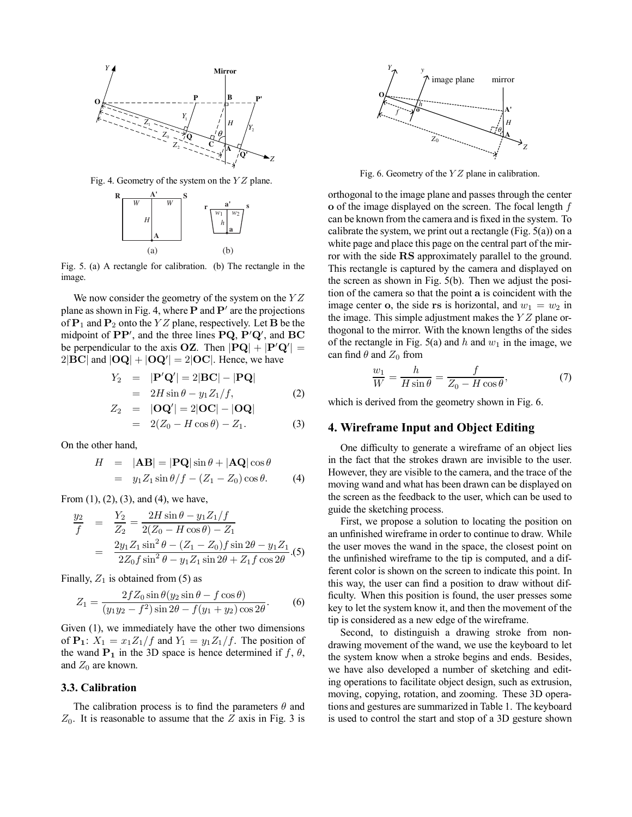

Fig. 4. Geometry of the system on the  $YZ$  plane.



Fig. 5. (a) A rectangle for calibration. (b) The rectangle in the image.

We now consider the geometry of the system on the  $YZ$ plane as shown in Fig. 4, where  $P$  and  $P'$  are the projections of  $P_1$  and  $P_2$  onto the YZ plane, respectively. Let **B** be the midpoint of  $PP'$ , and the three lines  $PQ$ ,  $P'Q'$ , and  $BC$ be perpendicular to the axis  $OZ$ . Then  $|PQ| + |P'Q'| =$  $2|\mathbf{BC}|$  and  $|\mathbf{OQ}| + |\mathbf{OQ}'| = 2|\mathbf{OC}|$ . Hence, we have

$$
Y_2 = |\mathbf{P}'\mathbf{Q}'| = 2|\mathbf{BC}| - |\mathbf{PQ}|
$$
  
=  $2H \sin \theta - y_1 Z_1/f,$  (2)

$$
Z_2 = |\mathbf{OQ}'| = 2|\mathbf{OC}| - |\mathbf{OQ}|
$$
  
= 2(Z<sub>0</sub> - H cos  $\theta$ ) - Z<sub>1</sub>. (3)

On the other hand,

$$
H = |\mathbf{AB}| = |\mathbf{PQ}| \sin \theta + |\mathbf{AQ}| \cos \theta
$$
  
=  $y_1 Z_1 \sin \theta / f - (Z_1 - Z_0) \cos \theta.$  (4)

From (1), (2), (3), and (4), we have,

$$
\frac{y_2}{f} = \frac{Y_2}{Z_2} = \frac{2H\sin\theta - y_1Z_1/f}{2(Z_0 - H\cos\theta) - Z_1}
$$

$$
= \frac{2y_1Z_1\sin^2\theta - (Z_1 - Z_0)f\sin 2\theta - y_1Z_1}{2Z_0f\sin^2\theta - y_1Z_1\sin 2\theta + Z_1f\cos 2\theta}.
$$
(5)

Finally,  $Z_1$  is obtained from (5) as

$$
Z_1 = \frac{2fZ_0 \sin \theta (y_2 \sin \theta - f \cos \theta)}{(y_1 y_2 - f^2) \sin 2\theta - f(y_1 + y_2) \cos 2\theta}.
$$
 (6)

Given (1), we immediately have the other two dimensions of  $P_1$ :  $X_1 = x_1 Z_1/f$  and  $Y_1 = y_1 Z_1/f$ . The position of the wand  $P_1$  in the 3D space is hence determined if f,  $\theta$ , and  $Z_0$  are known.

### **3.3. Calibration**

The calibration process is to find the parameters  $\theta$  and  $Z_0$ . It is reasonable to assume that the Z axis in Fig. 3 is



Fig. 6. Geometry of the  $YZ$  plane in calibration.

orthogonal to the image plane and passes through the center o of the image displayed on the screen. The focal length f can be known from the camera and is fixed in the system. To calibrate the system, we print out a rectangle (Fig.  $5(a)$ ) on a white page and place this page on the central part of the mirror with the side RS approximately parallel to the ground. This rectangle is captured by the camera and displayed on the screen as shown in Fig. 5(b). Then we adjust the position of the camera so that the point a is coincident with the image center o, the side rs is horizontal, and  $w_1 = w_2$  in the image. This simple adjustment makes the  $YZ$  plane orthogonal to the mirror. With the known lengths of the sides of the rectangle in Fig. 5(a) and h and  $w_1$  in the image, we can find  $\theta$  and  $Z_0$  from

$$
\frac{w_1}{W} = \frac{h}{H\sin\theta} = \frac{f}{Z_0 - H\cos\theta},\tag{7}
$$

which is derived from the geometry shown in Fig. 6.

### **4. Wireframe Input and Object Editing**

One difficulty to generate a wireframe of an object lies in the fact that the strokes drawn are invisible to the user. However, they are visible to the camera, and the trace of the moving wand and what has been drawn can be displayed on the screen as the feedback to the user, which can be used to guide the sketching process.

First, we propose a solution to locating the position on an unfinished wireframe in order to continue to draw. While the user moves the wand in the space, the closest point on the unfinished wireframe to the tip is computed, and a different color is shown on the screen to indicate this point. In this way, the user can find a position to draw without difficulty. When this position is found, the user presses some key to let the system know it, and then the movement of the tip is considered as a new edge of the wireframe.

Second, to distinguish a drawing stroke from nondrawing movement of the wand, we use the keyboard to let the system know when a stroke begins and ends. Besides, we have also developed a number of sketching and editing operations to facilitate object design, such as extrusion, moving, copying, rotation, and zooming. These 3D operations and gestures are summarized in Table 1. The keyboard is used to control the start and stop of a 3D gesture shown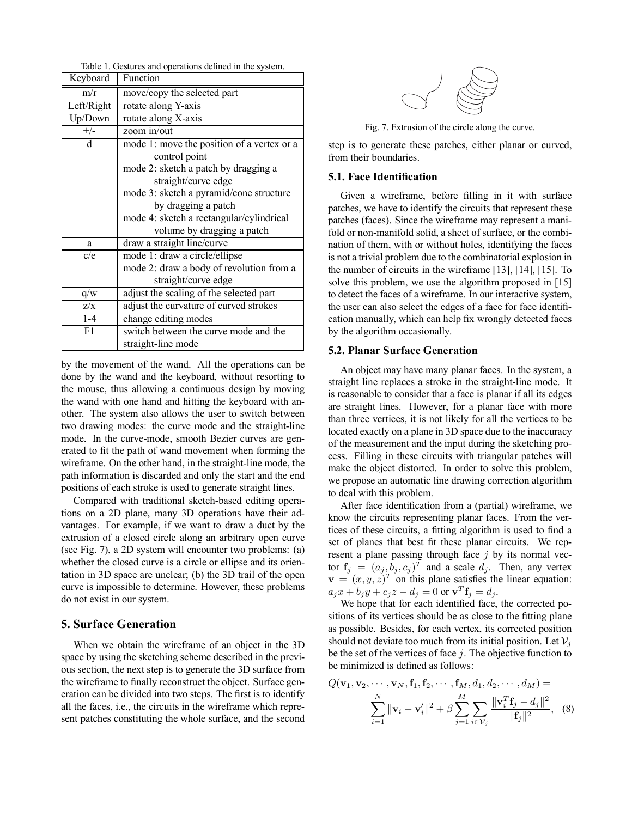| Keyboard   | Function                                   |
|------------|--------------------------------------------|
| m/r        | move/copy the selected part                |
| Left/Right | rotate along Y-axis                        |
| Up/Down    | rotate along X-axis                        |
| $+/-$      | zoom in/out                                |
| d          | mode 1: move the position of a vertex or a |
|            | control point                              |
|            | mode 2: sketch a patch by dragging a       |
|            | straight/curve edge                        |
|            | mode 3: sketch a pyramid/cone structure    |
|            | by dragging a patch                        |
|            | mode 4: sketch a rectangular/cylindrical   |
|            | volume by dragging a patch                 |
| a          | draw a straight line/curve                 |
| c/e        | mode 1: draw a circle/ellipse              |
|            | mode 2: draw a body of revolution from a   |
|            | straight/curve edge                        |
| q/w        | adjust the scaling of the selected part    |
| Z/X        | adjust the curvature of curved strokes     |
| $1 - 4$    | change editing modes                       |
| F1         | switch between the curve mode and the      |
|            | straight-line mode                         |

Table 1. Gestures and operations defined in the system.

by the movement of the wand. All the operations can be done by the wand and the keyboard, without resorting to the mouse, thus allowing a continuous design by moving the wand with one hand and hitting the keyboard with another. The system also allows the user to switch between two drawing modes: the curve mode and the straight-line mode. In the curve-mode, smooth Bezier curves are generated to fit the path of wand movement when forming the wireframe. On the other hand, in the straight-line mode, the path information is discarded and only the start and the end positions of each stroke is used to generate straight lines.

Compared with traditional sketch-based editing operations on a 2D plane, many 3D operations have their advantages. For example, if we want to draw a duct by the extrusion of a closed circle along an arbitrary open curve (see Fig. 7), a 2D system will encounter two problems: (a) whether the closed curve is a circle or ellipse and its orientation in 3D space are unclear; (b) the 3D trail of the open curve is impossible to determine. However, these problems do not exist in our system.

# **5. Surface Generation**

When we obtain the wireframe of an object in the 3D space by using the sketching scheme described in the previous section, the next step is to generate the 3D surface from the wireframe to finally reconstruct the object. Surface generation can be divided into two steps. The first is to identify all the faces, i.e., the circuits in the wireframe which represent patches constituting the whole surface, and the second



Fig. 7. Extrusion of the circle along the curve.

step is to generate these patches, either planar or curved, from their boundaries.

### **5.1. Face Identification**

Given a wireframe, before filling in it with surface patches, we have to identify the circuits that represent these patches (faces). Since the wireframe may represent a manifold or non-manifold solid, a sheet of surface, or the combination of them, with or without holes, identifying the faces is not a trivial problem due to the combinatorial explosion in the number of circuits in the wireframe [13], [14], [15]. To solve this problem, we use the algorithm proposed in [15] to detect the faces of a wireframe. In our interactive system, the user can also select the edges of a face for face identification manually, which can help fix wrongly detected faces by the algorithm occasionally.

### **5.2. Planar Surface Generation**

An object may have many planar faces. In the system, a straight line replaces a stroke in the straight-line mode. It is reasonable to consider that a face is planar if all its edges are straight lines. However, for a planar face with more than three vertices, it is not likely for all the vertices to be located exactly on a plane in 3D space due to the inaccuracy of the measurement and the input during the sketching process. Filling in these circuits with triangular patches will make the object distorted. In order to solve this problem, we propose an automatic line drawing correction algorithm to deal with this problem.

After face identification from a (partial) wireframe, we know the circuits representing planar faces. From the vertices of these circuits, a fitting algorithm is used to find a set of planes that best fit these planar circuits. We represent a plane passing through face  $j$  by its normal vector  $f_i = (a_i, b_i, c_i)^T$  and a scale  $d_i$ . Then, any vertex  $\mathbf{v} = (x, y, z)^T$  on this plane satisfies the linear equation:  $a_j x + b_j y + c_j z - d_j = 0$  or  $\mathbf{v}^T \mathbf{f}_j = d_j$ .

We hope that for each identified face, the corrected positions of its vertices should be as close to the fitting plane as possible. Besides, for each vertex, its corrected position should not deviate too much from its initial position. Let  $V_i$ be the set of the vertices of face  $j$ . The objective function to be minimized is defined as follows:

$$
Q(\mathbf{v}_1, \mathbf{v}_2, \cdots, \mathbf{v}_N, \mathbf{f}_1, \mathbf{f}_2, \cdots, \mathbf{f}_M, d_1, d_2, \cdots, d_M) =
$$
  

$$
\sum_{i=1}^N \|\mathbf{v}_i - \mathbf{v}'_i\|^2 + \beta \sum_{j=1}^M \sum_{i \in \mathcal{V}_j} \frac{\|\mathbf{v}_i^T \mathbf{f}_j - d_j\|^2}{\|\mathbf{f}_j\|^2}, \quad (8)
$$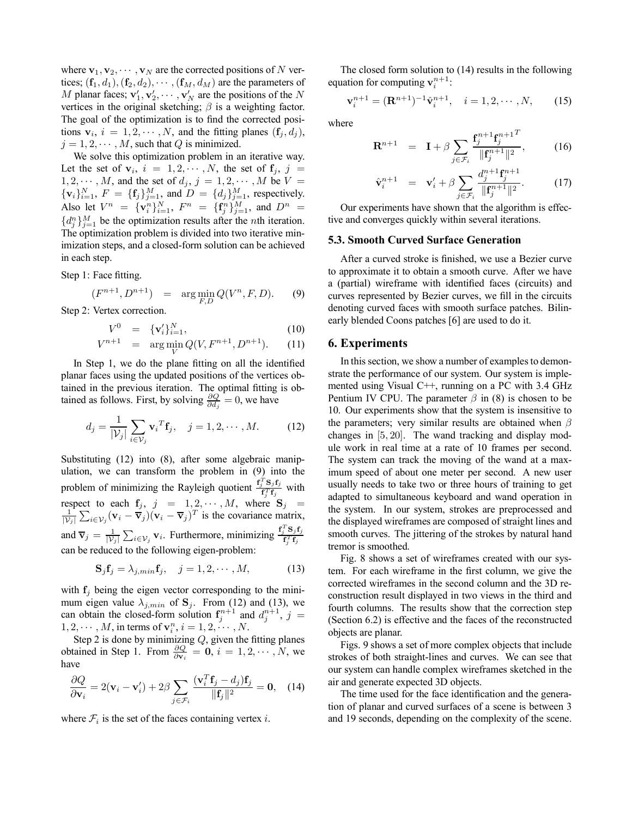where  $\mathbf{v}_1, \mathbf{v}_2, \cdots, \mathbf{v}_N$  are the corrected positions of N vertices;  $(f_1, d_1)$ ,  $(f_2, d_2)$ ,  $\cdots$ ,  $(f_M, d_M)$  are the parameters of M planar faces;  $\mathbf{v}'_1, \mathbf{v}'_2, \cdots, \mathbf{v}'_N$  are the positions of the N vertices in the original sketching;  $\beta$  is a weighting factor. The goal of the optimization is to find the corrected positions  $\mathbf{v}_i$ ,  $i = 1, 2, \cdots, N$ , and the fitting planes  $(\mathbf{f}_i, d_i)$ ,  $j = 1, 2, \cdots, M$ , such that Q is minimized.

We solve this optimization problem in an iterative way. Let the set of  $v_i$ ,  $i = 1, 2, \dots, N$ , the set of  $f_j$ ,  $j =$  $1, 2, \cdots, M$ , and the set of  $d_i$ ,  $j = 1, 2, \cdots, M$  be  $V =$  $\{v_i\}_{i=1}^N$ ,  $F = \{f_j\}_{j=1}^M$ , and  $D = \{d_j\}_{j=1}^M$ , respectively. Also let  $V^n = {\mathbf{v}_i^n}_{i=1}^N$ ,  $F^n = {\mathbf{f}_j^n}_{j=1}^M$ , and  $D^n =$  $\{d_j^n\}_{j=1}^M$  be the optimization results after the *n*th iteration. The optimization problem is divided into two iterative minimization steps, and a closed-form solution can be achieved in each step.

Step 1: Face fitting.

$$
(F^{n+1}, D^{n+1}) = \arg \min_{F,D} Q(V^n, F, D). \tag{9}
$$

Step 2: Vertex correction.

$$
V^0 = \{ \mathbf{v}'_i \}_{i=1}^N, \tag{10}
$$

$$
V^{n+1} = \arg\min_{V} Q(V, F^{n+1}, D^{n+1}). \tag{11}
$$

In Step 1, we do the plane fitting on all the identified planar faces using the updated positions of the vertices obtained in the previous iteration. The optimal fitting is obtained as follows. First, by solving  $\frac{\partial Q}{\partial d_j} = 0$ , we have

$$
d_j = \frac{1}{|\mathcal{V}_j|} \sum_{i \in \mathcal{V}_j} \mathbf{v}_i^T \mathbf{f}_j, \quad j = 1, 2, \cdots, M. \tag{12}
$$

Substituting (12) into (8), after some algebraic manipulation, we can transform the problem in (9) into the problem of minimizing the Rayleigh quotient  $\frac{f_j^T S_j f_j}{f_j^T f_k}$  $\frac{\sigma_j \mathbf{1}_j}{\mathbf{f}_j^T \mathbf{f}_j}$  with respect to each  $f_j$ ,  $j = 1, 2, \dots, M$ , where  $S_j = \frac{1}{L} \sum_{\mathbf{W}} (x_j - \overline{\mathbf{x}})^2 (y_j - \overline{\mathbf{x}})^T$  is the covariance matrix  $\frac{1}{|V_j|} \sum_{i \in V_j} (\mathbf{v}_i - \overline{\mathbf{v}}_j)(\mathbf{v}_i - \overline{\mathbf{v}}_j)^T$  is the covariance matrix, and  $\overline{\mathbf{v}}_j = \frac{1}{|\mathcal{V}_j|} \sum_{i \in \mathcal{V}_j} \mathbf{v}_i$ . Furthermore, minimizing  $\frac{\mathbf{f}_j^T \mathbf{S}_j \mathbf{f}_j}{\mathbf{f}_j^T \mathbf{f}_j}$  $\mathbf{f}_j^T \mathbf{f}_j$ can be reduced to the following eigen-problem:

$$
\mathbf{S}_{j}\mathbf{f}_{j} = \lambda_{j,min}\mathbf{f}_{j}, \quad j = 1, 2, \cdots, M,
$$
 (13)

with  $f_i$  being the eigen vector corresponding to the minimum eigen value  $\lambda_{j,min}$  of  $S_j$ . From (12) and (13), we can obtain the closed-form solution  $f_j^{n+1}$  and  $d_j^{n+1}$ ,  $j =$  $1, 2, \cdots, M$ , in terms of  $\mathbf{v}_i^n$ ,  $i = 1, 2, \cdots, N$ .

Step 2 is done by minimizing  $Q$ , given the fitting planes obtained in Step 1. From  $\frac{\partial Q}{\partial \mathbf{v}_i} = \mathbf{0}, i = 1, 2, \cdots, N$ , we have

$$
\frac{\partial Q}{\partial \mathbf{v}_i} = 2(\mathbf{v}_i - \mathbf{v}'_i) + 2\beta \sum_{j \in \mathcal{F}_i} \frac{(\mathbf{v}_i^T \mathbf{f}_j - d_j) \mathbf{f}_j}{\|\mathbf{f}_j\|^2} = \mathbf{0}, \quad (14)
$$

where  $\mathcal{F}_i$  is the set of the faces containing vertex i.

The closed form solution to (14) results in the following equation for computing  $\mathbf{v}_i^{n+1}$ :

$$
\mathbf{v}_{i}^{n+1} = (\mathbf{R}^{n+1})^{-1} \hat{\mathbf{v}}_{i}^{n+1}, \quad i = 1, 2, \cdots, N,
$$
 (15)

where

$$
\mathbf{R}^{n+1} = \mathbf{I} + \beta \sum_{j \in \mathcal{F}_i} \frac{\mathbf{f}_j^{n+1} \mathbf{f}_j^{n+1}}{\|\mathbf{f}_j^{n+1}\|^2},
$$
 (16)

$$
\hat{\mathbf{v}}_i^{n+1} = \mathbf{v}_i' + \beta \sum_{j \in \mathcal{F}_i} \frac{d_j^{n+1} \mathbf{f}_j^{n+1}}{\|\mathbf{f}_j^{n+1}\|^2}.
$$
 (17)

Our experiments have shown that the algorithm is effective and converges quickly within several iterations.

#### **5.3. Smooth Curved Surface Generation**

After a curved stroke is finished, we use a Bezier curve to approximate it to obtain a smooth curve. After we have a (partial) wireframe with identified faces (circuits) and curves represented by Bezier curves, we fill in the circuits denoting curved faces with smooth surface patches. Bilinearly blended Coons patches [6] are used to do it.

### **6. Experiments**

In this section, we show a number of examples to demonstrate the performance of our system. Our system is implemented using Visual C++, running on a PC with 3.4 GHz Pentium IV CPU. The parameter  $\beta$  in (8) is chosen to be 10. Our experiments show that the system is insensitive to the parameters; very similar results are obtained when  $\beta$ changes in [5, 20]. The wand tracking and display module work in real time at a rate of 10 frames per second. The system can track the moving of the wand at a maximum speed of about one meter per second. A new user usually needs to take two or three hours of training to get adapted to simultaneous keyboard and wand operation in the system. In our system, strokes are preprocessed and the displayed wireframes are composed of straight lines and smooth curves. The jittering of the strokes by natural hand tremor is smoothed.

Fig. 8 shows a set of wireframes created with our system. For each wireframe in the first column, we give the corrected wireframes in the second column and the 3D reconstruction result displayed in two views in the third and fourth columns. The results show that the correction step (Section 6.2) is effective and the faces of the reconstructed objects are planar.

Figs. 9 shows a set of more complex objects that include strokes of both straight-lines and curves. We can see that our system can handle complex wireframes sketched in the air and generate expected 3D objects.

The time used for the face identification and the generation of planar and curved surfaces of a scene is between 3 and 19 seconds, depending on the complexity of the scene.